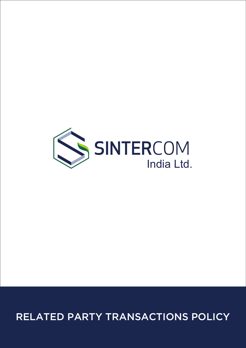

# RELATED PARTY TRANSACTIONS POLICY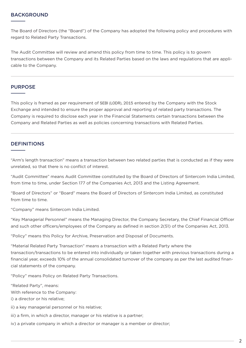#### BACKGROUND

The Board of Directors (the "Board") of the Company has adopted the following policy and procedures with regard to Related Party Transactions.

The Audit Committee will review and amend this policy from time to time. This policy is to govern transactions between the Company and its Related Parties based on the laws and regulations that are applicable to the Company.

#### PURPOSE

This policy is framed as per requirement of SEBI (LODR), 2015 entered by the Company with the Stock Exchange and intended to ensure the proper approval and reporting of related party transactions. The Company is required to disclose each year in the Financial Statements certain transactions between the Company and Related Parties as well as policies concerning transactions with Related Parties.

#### **DEFINITIONS**

"Arm's length transaction" means a transaction between two related parties that is conducted as if they were unrelated, so that there is no conflict of interest.

"Audit Committee" means Audit Committee constituted by the Board of Directors of Sintercom India Limited, from time to time, under Section 177 of the Companies Act, 2013 and the Listing Agreement.

"Board of Directors" or "Board" means the Board of Directors of Sintercom India Limited, as constituted from time to time.

"Company" means Sintercom India Limited.

"Key Managerial Personnel" means the Managing Director, the Company Secretary, the Chief Financial Officer and such other officers/employees of the Company as defined in section 2(51) of the Companies Act, 2013.

"Policy" means this Policy for Archive, Preservation and Disposal of Documents.

"Material Related Party Transaction" means a transaction with a Related Party where the transaction/transactions to be entered into individually or taken together with previous transactions during a financial year, exceeds 10% of the annual consolidated turnover of the company as per the last audited financial statements of the company.

"Policy" means Policy on Related Party Transactions.

"Related Party", means:

With reference to the Company:

i) a director or his relative;

ii) a key managerial personnel or his relative;

iii) a firm, in which a director, manager or his relative is a partner;

iv) a private company in which a director or manager is a member or director;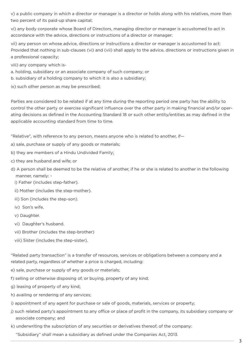v) a public company in which a director or manager is a director or holds along with his relatives, more than two percent of its paid-up share capital;

vi) any body corporate whose Board of Directors, managing director or manager is accustomed to act in accordance with the advice, directions or instructions of a director or manager;

vii) any person on whose advice, directions or instructions a director or manager is accustomed to act: Provided that nothing in sub-clauses (vi) and (vii) shall apply to the advice, directions or instructions given in a professional capacity;

viii) any company which is-

- a. holding, subsidiary or an associate company of such company; or
- b. subsidiary of a holding company to which it is also a subsidiary;

ix) such other person as may be prescribed;

Parties are considered to be related if at any time during the reporting period one party has the ability to control the other party or exercise significant influence over the other party in making financial and/or operating decisions as defined in the Accounting Standard 18 or such other entity/entities as may defined in the applicable accounting standard from time to time.

"Relative", with reference to any person, means anyone who is related to another, if—

- a) sale, purchase or supply of any goods or materials;
- b) they are members of a Hindu Undivided Family;
- c) they are husband and wife; or
- d) A person shall be deemed to be the relative of another, if he or she is related to another in the following manner, namely:
	- i) Father (includes step-father).
	- ii) Mother (includes the step-mother).
	- iii) Son (includes the step-son).
	- iv) Son's wife.
	- v) Daughter.
	- vi) Daughter's husband.
	- vii) Brother (includes the step-brother)
	- viii) Sister (includes the step-sister).

"Related party transaction" is a transfer of resources, services or obligations between a company and a related party, regardless of whether a price is charged, including:

- e) sale, purchase or supply of any goods or materials;
- f) selling or otherwise disposing of, or buying, property of any kind;
- g) leasing of property of any kind;
- h) availing or rendering of any services;
- i) appointment of any agent for purchase or sale of goods, materials, services or property;
- j) such related party's appointment to any office or place of profit in the company, its subsidiary company or associate company; and
- k) underwriting the subscription of any securities or derivatives thereof, of the company:
	- "Subsidiary" shall mean a subsidiary as defined under the Companies Act, 2013.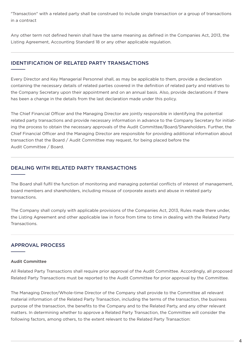"Transaction" with a related party shall be construed to include single transaction or a group of transactions in a contract

Any other term not defined herein shall have the same meaning as defined in the Companies Act, 2013, the Listing Agreement, Accounting Standard 18 or any other applicable regulation.

# IDENTIFICATION OF RELATED PARTY TRANSACTIONS

Every Director and Key Managerial Personnel shall, as may be applicable to them, provide a declaration containing the necessary details of related parties covered in the definition of related party and relatives to the Company Secretary upon their appointment and on an annual basis. Also, provide declarations if there has been a change in the details from the last declaration made under this policy.

The Chief Financial Officer and the Managing Director are jointly responsible in identifying the potential related party transactions and provide necessary information in advance to the Company Secretary for initiating the process to obtain the necessary approvals of the Audit Committee/Board/Shareholders. Further, the Chief Financial Officer and the Managing Director are responsible for providing additional information about transaction that the Board / Audit Committee may request, for being placed before the Audit Committee / Board.

# DEALING WITH RELATED PARTY TRANSACTIONS

The Board shall fulfil the function of monitoring and managing potential conflicts of interest of management, board members and shareholders, including misuse of corporate assets and abuse in related party transactions.

The Company shall comply with applicable provisions of the Companies Act, 2013, Rules made there under, the Listing Agreement and other applicable law in force from time to time in dealing with the Related Party Transactions.

# APPROVAL PROCESS

#### Audit Committee

All Related Party Transactions shall require prior approval of the Audit Committee. Accordingly, all proposed Related Party Transactions must be reported to the Audit Committee for prior approval by the Committee.

The Managing Director/Whole-time Director of the Company shall provide to the Committee all relevant material information of the Related Party Transaction, including the terms of the transaction, the business purpose of the transaction, the benefits to the Company and to the Related Party, and any other relevant matters. In determining whether to approve a Related Party Transaction, the Committee will consider the following factors, among others, to the extent relevant to the Related Party Transaction: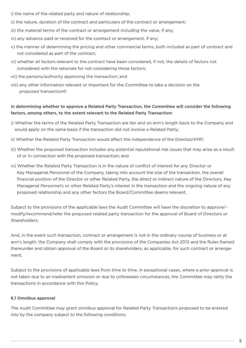- i) the name of the related party and nature of relationship;
- ii) the nature, duration of the contract and particulars of the contract or arrangement;
- iii) the material terms of the contract or arrangement including the value, if any;
- iv) any advance paid or received for the contract or arrangement, if any;
- v) the manner of determining the pricing and other commercial terms, both included as part of contract and not considered as part of the contract;
- vi) whether all factors relevant to the contract have been considered, if not, the details of factors not considered with the rationale for not considering those factors;
- vii) the persons/authority approving the transaction; and
- viii) any other information relevant or important for the Committee to take a decision on the proposed transaction0

## In determining whether to approve a Related Party Transaction, the Committee will consider the following factors, among others, to the extent relevant to the Related Party Transaction:

- i) Whether the terms of the Related Party Transaction are fair and on arm's length basis to the Company and would apply on the same basis if the transaction did not involve a Related Party;
- ii) Whether the Related Party Transaction would affect the independence of the Director/KMP;
- iii) Whether the proposed transaction includes any potential reputational risk issues that may arise as a result of or in connection with the proposed transaction; and
- iv) Whether the Related Party Transaction is in the nature of conflict of interest for any Director or Key Managerial Personnel of the Company, taking into account the size of the transaction, the overall financial position of the Director or other Related Party, the direct or indirect nature of the Directors, Key Managerial Personnel's or other Related Party's interest in the transaction and the ongoing nature of any proposed relationship and any other factors the Board/Committee deems relevant.

Subject to the provisions of the applicable laws the Audit Committee will have the discretion to approve/ modify/recommend/refer the proposed related party transaction for the approval of Board of Directors or Shareholders.

And, in the event such transaction, contract or arrangement is not in the ordinary course of business or at arm's length, the Company shall comply with the provisions of the Companies Act 2013 and the Rules framed thereunder and obtain approval of the Board or its shareholders, as applicable, for such contract or arrangement.

Subject to the provisions of applicable laws from time to time, in exceptional cases, where a prior approval is not taken due to an inadvertent omission or due to unforeseen circumstances, the Committee may ratify the transactions in accordance with this Policy.

#### 6.1 Omnibus approval

The Audit Committee may grant omnibus approval for Related Party Transactions proposed to be entered into by the company subject to the following conditions: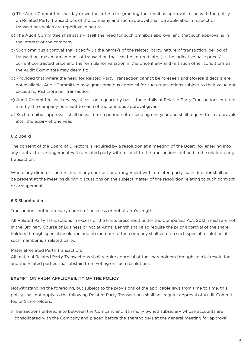- a) The Audit Committee shall lay down the criteria for granting the omnibus approval in line with the policy on Related Party Transactions of the company and such approval shall be applicable in respect of transactions which are repetitive in nature.
- b) The Audit Committee shall satisfy itself the need for such omnibus approval and that such approval is in the interest of the company;
- c) Such omnibus approval shall specify (i) the name/s of the related party, nature of transaction, period of transaction, maximum amount of transaction that can be entered into, (ii) the indicative base price / current contracted price and the formula for variation in the price if any and (iii) such other conditions as the Audit Committee may deem fit;
- d) Provided that where the need for Related Party Transaction cannot be foreseen and aforesaid details are not available, Audit Committee may grant omnibus approval for such transactions subject to their value not exceeding Rs.1 crore per transaction.
- e) Audit Committee shall review, atleast on a quarterly basis, the details of Related Party Transactions entered into by the company pursuant to each of the omnibus approval given.
- d) Such omnibus approvals shall be valid for a period not exceeding one year and shall require fresh approvals after the expiry of one year.

#### 6.2 Board

The consent of the Board of Directors is required by a resolution at a meeting of the Board for entering into any contract or arrangement with a related party with respect to the transactions defined in the related party transaction.

Where any director is interested in any contract or arrangement with a related party, such director shall not be present at the meeting during discussions on the subject matter of the resolution relating to such contract or arrangement.

## 6.3 Shareholders

Transactions not in ordinary course of business or not at arm's length:

All Related Party Transactions in excess of the limits prescribed under the Companies Act, 2013, which are not in the Ordinary Course of Business or not at Arms' Length shall also require the prior approval of the shareholders through special resolution and no member of the company shall vote on such special resolution, if such member is a related party.

Material Related Party Transaction:

All material Related Party Transactions shall require approval of the shareholders through special resolution and the related parties shall abstain from voting on such resolutions.

## EXEMPTION FROM APPLICABILITY OF THE POLICY

Notwithstanding the foregoing, but subject to the provisions of the applicable laws from time to time, this policy shall not apply to the following Related Party Transactions shall not require approval of Audit Committee or Shareholders:

i) Transactions entered into between the Company and its wholly owned subsidiary whose accounts are consolidated with the Company and placed before the shareholders at the general meeting for approval.